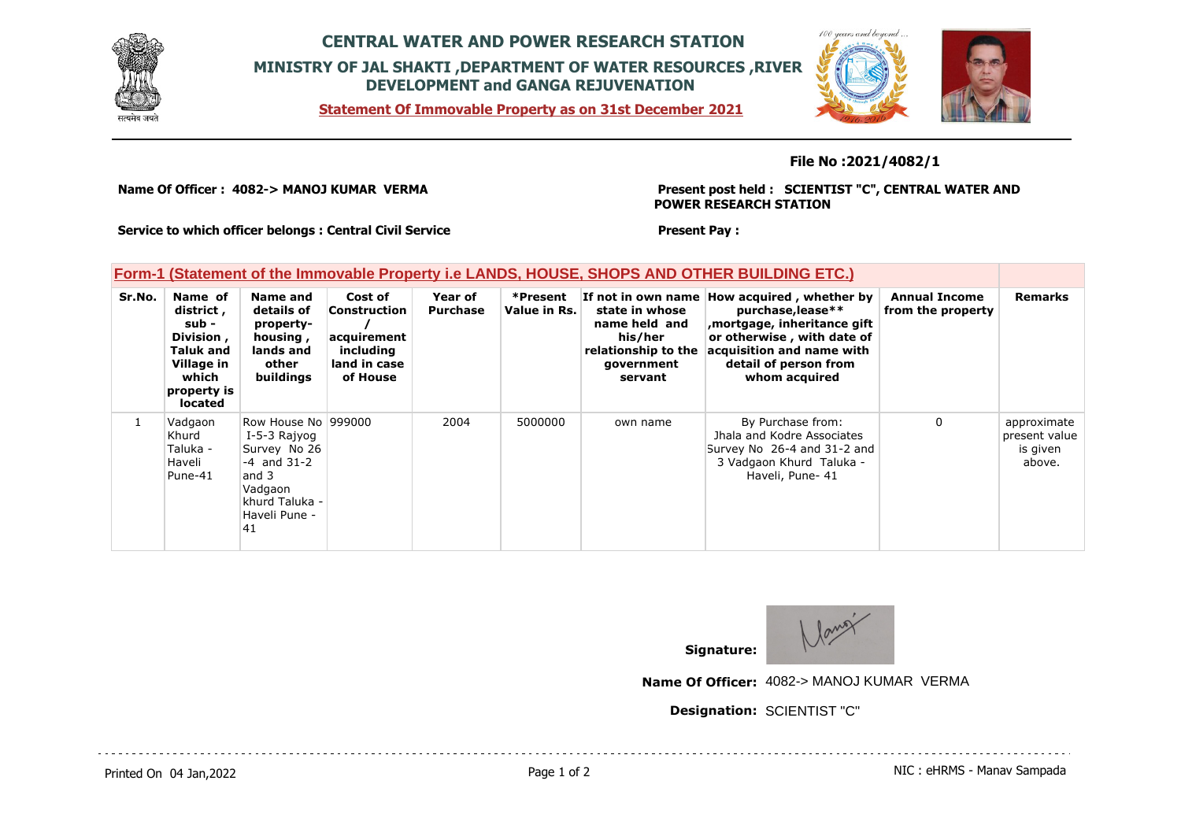

## **CENTRAL WATER AND POWER RESEARCH STATION MINISTRY OF JAL SHAKTI ,DEPARTMENT OF WATER RESOURCES ,RIVER DEVELOPMENT and GANGA REJUVENATION**

**Statement Of Immovable Property as on 31st December 2021**



## **File No :2021/4082/1**

**Name Of Officer : 4082-> MANOJ KUMAR VERMA** 

**Present post held : SCIENTIST "C", CENTRAL WATER AND POWER RESEARCH STATION**

**Service to which officer belongs : Central Civil Service**

## **Form-1 (Statement of the Immovable Property i.e LANDS, HOUSE, SHOPS AND OTHER BUILDING ETC.)**

| Sr.No. | Name of<br>district,<br>sub -<br>Division,<br>Taluk and<br>Village in<br>which<br>property is<br>located | Name and<br>details of<br>property-<br>housing,<br>lands and<br>other<br>buildings                                                   | Cost of<br><b>Construction</b><br>acquirement<br>including<br>land in case<br>of House | Year of<br><b>Purchase</b> | *Present<br>Value in Rs. | If not in own name<br>state in whose<br>name held and<br>his/her<br>relationship to the<br>government<br>servant | How acquired, whether by<br>purchase, lease**<br>mortgage, inheritance gift<br>or otherwise, with date of<br>acquisition and name with<br>detail of person from<br>whom acquired | <b>Annual Income</b><br>from the property | <b>Remarks</b>                                     |
|--------|----------------------------------------------------------------------------------------------------------|--------------------------------------------------------------------------------------------------------------------------------------|----------------------------------------------------------------------------------------|----------------------------|--------------------------|------------------------------------------------------------------------------------------------------------------|----------------------------------------------------------------------------------------------------------------------------------------------------------------------------------|-------------------------------------------|----------------------------------------------------|
|        | Vadgaon<br>Khurd<br>Taluka -<br>Haveli<br>Pune-41                                                        | Row House No 1999000<br>I-5-3 Rajyog<br>Survey No 26<br>$-4$ and $31-2$<br>and 3<br>Vadgaon<br>khurd Taluka -<br>Haveli Pune -<br>41 |                                                                                        | 2004                       | 5000000                  | own name                                                                                                         | By Purchase from:<br>Jhala and Kodre Associates<br>Survey No 26-4 and 31-2 and<br>3 Vadgaon Khurd Taluka -<br>Haveli, Pune- 41                                                   | $\mathbf{0}$                              | approximate<br>present value<br>is given<br>above. |

**Present Pay :** 



**Name Of Officer:** 4082-> MANOJ KUMAR VERMA

**Designation:** SCIENTIST "C"